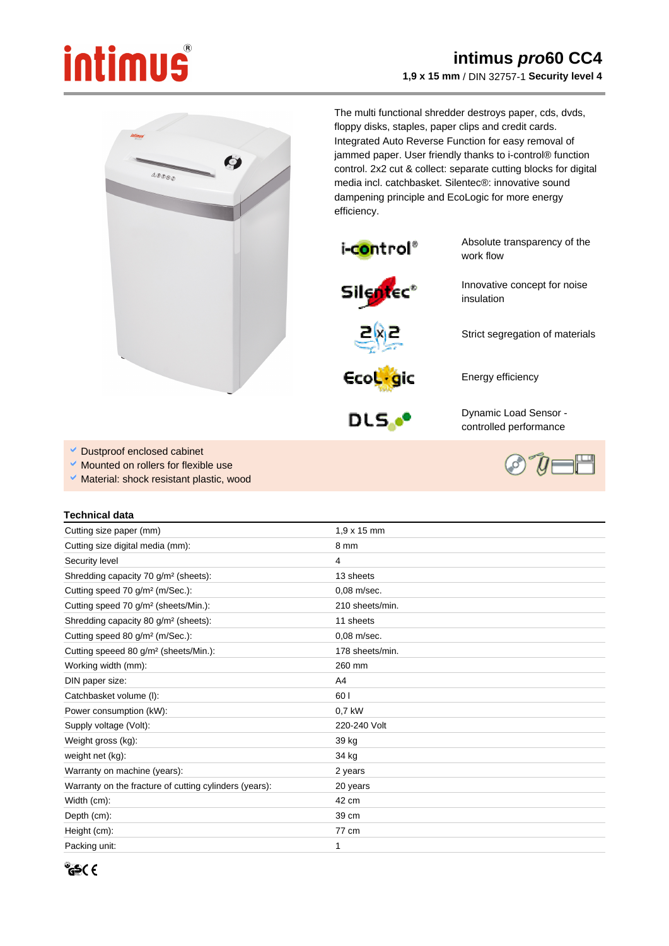## intimus

## **intimus pro60 CC4 1,9 x 15 mm** / DIN 32757-1 **Security level 4**



The multi functional shredder destroys paper, cds, dvds, floppy disks, staples, paper clips and credit cards. Integrated Auto Reverse Function for easy removal of jammed paper. User friendly thanks to i-control® function control. 2x2 cut & collect: separate cutting blocks for digital media incl. catchbasket. Silentec®: innovative sound dampening principle and EcoLogic for more energy efficiency.



Absolute transparency of the work flow

Innovative concept for noise insulation

Strict segregation of materials





Dynamic Load Sensor controlled performance

Energy efficiency

- Dustproof enclosed cabinet
- Mounted on rollers for flexible use
- Ŷ, Material: shock resistant plastic, wood

## **Technical data**

| Cutting size paper (mm)                                | $1.9 \times 15$ mm |
|--------------------------------------------------------|--------------------|
| Cutting size digital media (mm):                       | 8 mm               |
| Security level                                         | 4                  |
| Shredding capacity 70 g/m <sup>2</sup> (sheets):       | 13 sheets          |
| Cutting speed 70 g/m <sup>2</sup> (m/Sec.):            | 0,08 m/sec.        |
| Cutting speed 70 g/m <sup>2</sup> (sheets/Min.):       | 210 sheets/min.    |
| Shredding capacity 80 g/m <sup>2</sup> (sheets):       | 11 sheets          |
| Cutting speed 80 g/m <sup>2</sup> (m/Sec.):            | 0,08 m/sec.        |
| Cutting speeed 80 g/m <sup>2</sup> (sheets/Min.):      | 178 sheets/min.    |
| Working width (mm):                                    | 260 mm             |
| DIN paper size:                                        | A4                 |
| Catchbasket volume (I):                                | 60 l               |
| Power consumption (kW):                                | 0,7 kW             |
| Supply voltage (Volt):                                 | 220-240 Volt       |
| Weight gross (kg):                                     | 39 kg              |
| weight net (kg):                                       | 34 kg              |
| Warranty on machine (years):                           | 2 years            |
| Warranty on the fracture of cutting cylinders (years): | 20 years           |
| Width (cm):                                            | 42 cm              |
| Depth (cm):                                            | 39 cm              |
| Height (cm):                                           | 77 cm              |
| Packing unit:                                          | 1                  |